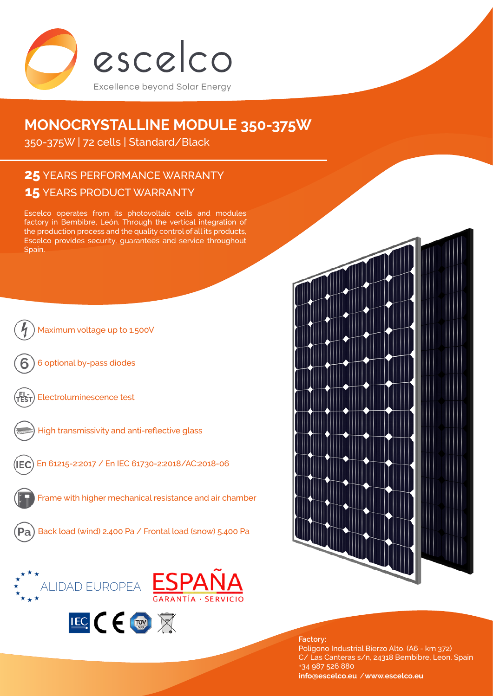

# **MONOCRYSTALLINE MODULE 350-375W**

350-375W | 72 cells | Standard/Black

# **15** YEARS PRODUCT WARRANTY **25** YEARS PERFORMANCE WARRANTY

Escelco operates from its photovoltaic cells and modules factory in Bembibre, León. Through the vertical integration of the production process and the quality control of all its products, Escelco provides security, guarantees and service throughout Spain.





**Factory:** Polígono Industrial Bierzo Alto. (A6 - km 372) C/ Las Canteras s/n, 24318 Bembibre, Leon. Spain +34 987 526 880 **[info@escelco.eu](mailto:info%40escelco.eu?subject=)** /**[www.escelco.eu](http://www.escelco.eu)**